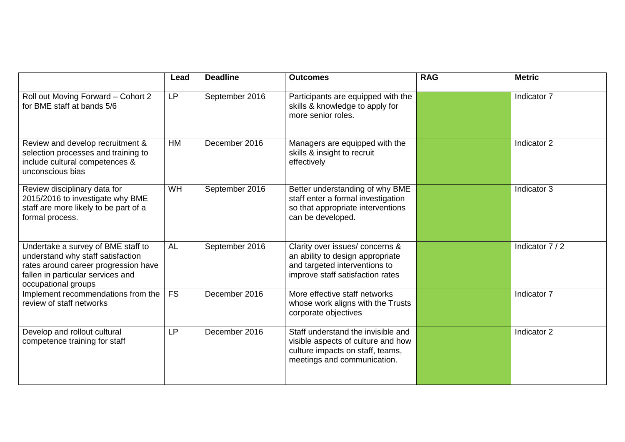|                                                                                                                                                                             | Lead      | <b>Deadline</b> | <b>Outcomes</b>                                                                                                                             | <b>RAG</b> | <b>Metric</b>   |
|-----------------------------------------------------------------------------------------------------------------------------------------------------------------------------|-----------|-----------------|---------------------------------------------------------------------------------------------------------------------------------------------|------------|-----------------|
| Roll out Moving Forward - Cohort 2<br>for BME staff at bands 5/6                                                                                                            | <b>LP</b> | September 2016  | Participants are equipped with the<br>skills & knowledge to apply for<br>more senior roles.                                                 |            | Indicator 7     |
| Review and develop recruitment &<br>selection processes and training to<br>include cultural competences &<br>unconscious bias                                               | <b>HM</b> | December 2016   | Managers are equipped with the<br>skills & insight to recruit<br>effectively                                                                |            | Indicator 2     |
| Review disciplinary data for<br>2015/2016 to investigate why BME<br>staff are more likely to be part of a<br>formal process.                                                | WH        | September 2016  | Better understanding of why BME<br>staff enter a formal investigation<br>so that appropriate interventions<br>can be developed.             |            | Indicator 3     |
| Undertake a survey of BME staff to<br>understand why staff satisfaction<br>rates around career progression have<br>fallen in particular services and<br>occupational groups | <b>AL</b> | September 2016  | Clarity over issues/ concerns &<br>an ability to design appropriate<br>and targeted interventions to<br>improve staff satisfaction rates    |            | Indicator 7 / 2 |
| Implement recommendations from the<br>review of staff networks                                                                                                              | FS        | December 2016   | More effective staff networks<br>whose work aligns with the Trusts<br>corporate objectives                                                  |            | Indicator 7     |
| Develop and rollout cultural<br>competence training for staff                                                                                                               | <b>LP</b> | December 2016   | Staff understand the invisible and<br>visible aspects of culture and how<br>culture impacts on staff, teams,<br>meetings and communication. |            | Indicator 2     |